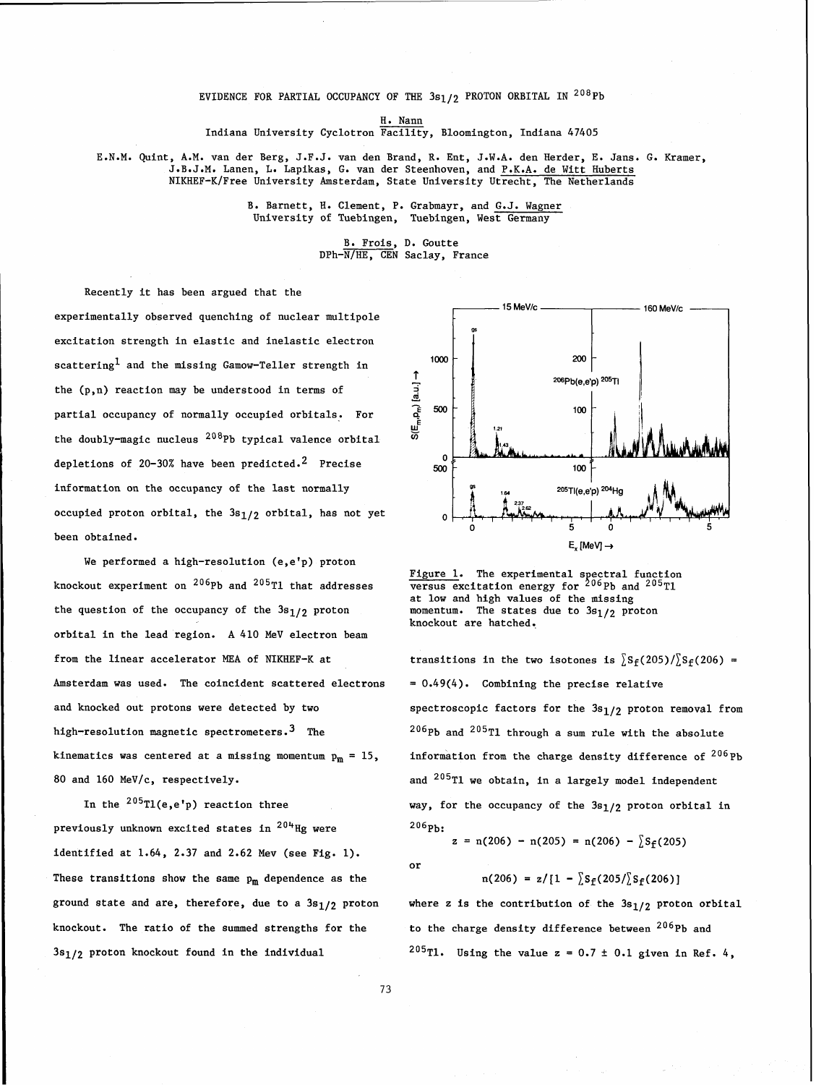## EVIDENCE FOR PARTIAL OCCUPANCY OF THE  $3s_1/2$  PROTON ORBITAL IN  $^{208}Pb$

H. Nann

Indiana University Cyclotron Facility, Bloomington, Indiana 47405

E.N.M. Quint, A.M. van der Berg, J.F.J. van den Brand, R. Ent, J.W.A. den Herder, E. Jans. **G.** Kramer, J.B.J.M. Lanen, L. Lapikas, G. van der Steenhoven, and P.K.A. de Witt Huberts NIKHEF-K/Free University Amsterdam, State University Utrecht, The Netherlands

> B. Barnett, H. Clement, P. Grabmayr, and G.J. Wagner University of Tuebingen, Tuebingen, West Germany

> > B. Frois, D. Goutte DPh-N/HE, CEN Saclay, France

Recently it has been argued that the experimentally observed quenching of nuclear multipole excitation strength in elastic and inelastic electron scattering<sup>1</sup> and the missing Gamow-Teller strength in the (p,n) reaction may be understood in terms of partial occupancy of normally occupied orbitals. For the doubly-magic nucleus  $^{208}Pb$  typical valence orbital depletions of 20-30% have been predicted.<sup>2</sup> Precise information on the occupancy of the last normally occupied proton orbital, the  $3s_{1/2}$  orbital, has not yet been obtained.

We performed a high-resolution  $(e,e'p)$  proton knockout experiment on  $^{206}$ Pb and  $^{205}$ Tl that addresses the question of the occupancy of the  $3s_{1/2}$  proton orbital in the lead region. A 410 MeV electron beam from the linear accelerator MEA of NIKHEF-K at Amsterdam was used. The coincident scattered electrons and knocked out protons were detected by two high-resolution magnetic spectrometers.<sup>3</sup> The kinematics was centered at a missing momentum  $p_m = 15$ , 80 and 160 MeV/c, respectively.

In the  $^{205}$ Tl(e,e'p) reaction three previously unknown excited states in  $^{204}$ Hg were identified at 1.64, 2.37 and 2.62 Mev (see Fig. 1). These transitions show the same  $p_m$  dependence as the ground state and are, therefore, due to a  $3s_{1/2}$  proton knockout. The ratio of the summed strengths for the  $3s_1/2$  proton knockout found in the individual





transitions in the two isotones is  $\frac{1}{5}$ S<sub>f</sub>(205)/ $\frac{1}{5}$ S<sub>f</sub>(206) = = 0.49(4). Combining the precise relative spectroscopic factors for the  $3s_1/2$  proton removal from  $^{206}$ Pb and  $^{205}$ Tl through a sum rule with the absolute information from the charge density difference of  $^{206}Pb$ and  $^{205}$ Tl we obtain, in a largely model independent way, for the occupancy of the  $3s_{1/2}$  proton orbital in  $206Pb:$ 

or

$$
n(206) = z/[1 - \sum_{f} S_f(205/\sum_{f} S_f(206)]
$$

 $z = n(206) - n(205) = n(206) - \sqrt{S_f(205)}$ 

where  $z$  is the contribution of the  $3s_{1/2}$  proton orbital to the charge density difference between 206Pb and  $205T1.$  Using the value  $z = 0.7 \pm 0.1$  given in Ref. 4,